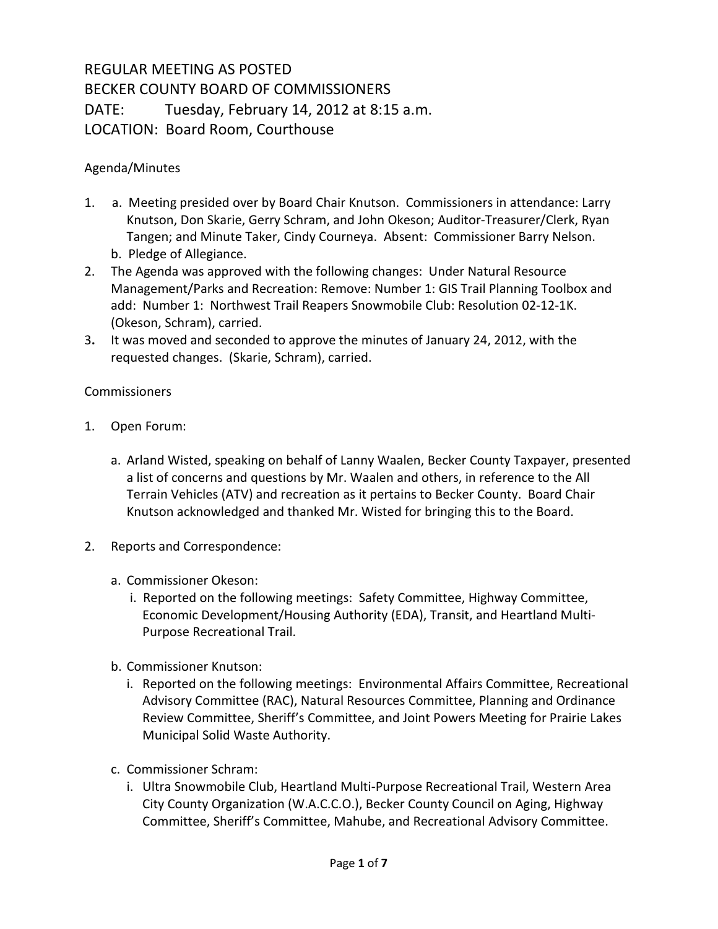## REGULAR MEETING AS POSTED BECKER COUNTY BOARD OF COMMISSIONERS DATE: Tuesday, February 14, 2012 at 8:15 a.m. LOCATION: Board Room, Courthouse

## Agenda/Minutes

- 1. a. Meeting presided over by Board Chair Knutson. Commissioners in attendance: Larry Knutson, Don Skarie, Gerry Schram, and John Okeson; Auditor-Treasurer/Clerk, Ryan Tangen; and Minute Taker, Cindy Courneya. Absent: Commissioner Barry Nelson. b. Pledge of Allegiance.
- 2. The Agenda was approved with the following changes: Under Natural Resource Management/Parks and Recreation: Remove: Number 1: GIS Trail Planning Toolbox and add: Number 1: Northwest Trail Reapers Snowmobile Club: Resolution 02-12-1K. (Okeson, Schram), carried.
- 3**.** It was moved and seconded to approve the minutes of January 24, 2012, with the requested changes. (Skarie, Schram), carried.

## **Commissioners**

- 1. Open Forum:
	- a. Arland Wisted, speaking on behalf of Lanny Waalen, Becker County Taxpayer, presented a list of concerns and questions by Mr. Waalen and others, in reference to the All Terrain Vehicles (ATV) and recreation as it pertains to Becker County. Board Chair Knutson acknowledged and thanked Mr. Wisted for bringing this to the Board.
- 2. Reports and Correspondence:
	- a. Commissioner Okeson:
		- i. Reported on the following meetings: Safety Committee, Highway Committee, Economic Development/Housing Authority (EDA), Transit, and Heartland Multi-Purpose Recreational Trail.
	- b. Commissioner Knutson:
		- i. Reported on the following meetings: Environmental Affairs Committee, Recreational Advisory Committee (RAC), Natural Resources Committee, Planning and Ordinance Review Committee, Sheriff's Committee, and Joint Powers Meeting for Prairie Lakes Municipal Solid Waste Authority.
	- c. Commissioner Schram:
		- i. Ultra Snowmobile Club, Heartland Multi-Purpose Recreational Trail, Western Area City County Organization (W.A.C.C.O.), Becker County Council on Aging, Highway Committee, Sheriff's Committee, Mahube, and Recreational Advisory Committee.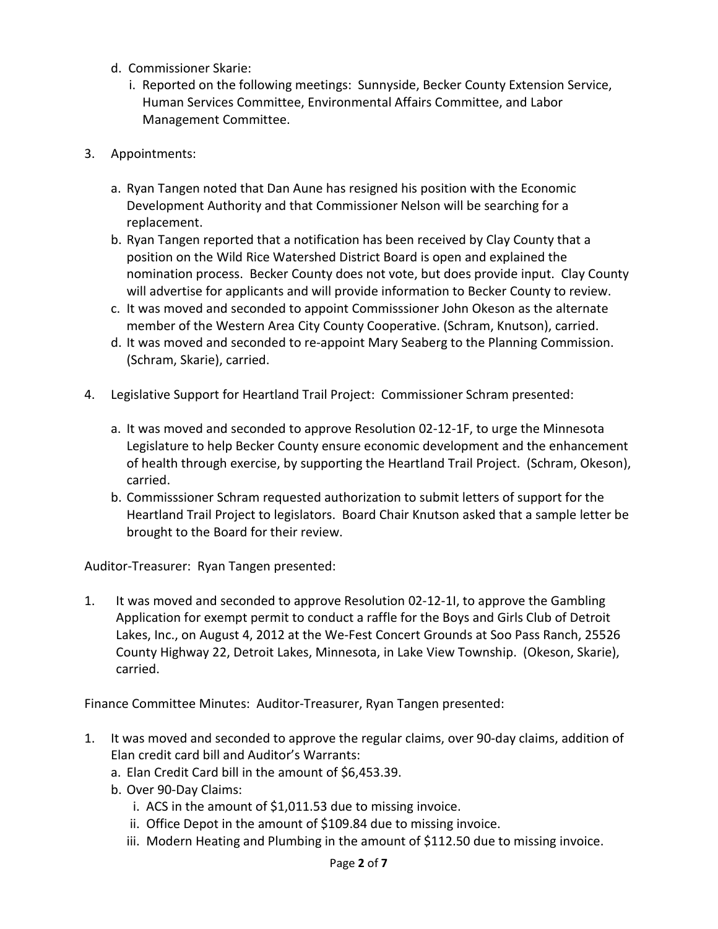- d. Commissioner Skarie:
	- i. Reported on the following meetings: Sunnyside, Becker County Extension Service, Human Services Committee, Environmental Affairs Committee, and Labor Management Committee.
- 3. Appointments:
	- a. Ryan Tangen noted that Dan Aune has resigned his position with the Economic Development Authority and that Commissioner Nelson will be searching for a replacement.
	- b. Ryan Tangen reported that a notification has been received by Clay County that a position on the Wild Rice Watershed District Board is open and explained the nomination process. Becker County does not vote, but does provide input. Clay County will advertise for applicants and will provide information to Becker County to review.
	- c. It was moved and seconded to appoint Commisssioner John Okeson as the alternate member of the Western Area City County Cooperative. (Schram, Knutson), carried.
	- d. It was moved and seconded to re-appoint Mary Seaberg to the Planning Commission. (Schram, Skarie), carried.
- 4. Legislative Support for Heartland Trail Project: Commissioner Schram presented:
	- a. It was moved and seconded to approve Resolution 02-12-1F, to urge the Minnesota Legislature to help Becker County ensure economic development and the enhancement of health through exercise, by supporting the Heartland Trail Project. (Schram, Okeson), carried.
	- b. Commisssioner Schram requested authorization to submit letters of support for the Heartland Trail Project to legislators. Board Chair Knutson asked that a sample letter be brought to the Board for their review.

Auditor-Treasurer: Ryan Tangen presented:

1. It was moved and seconded to approve Resolution 02-12-1I, to approve the Gambling Application for exempt permit to conduct a raffle for the Boys and Girls Club of Detroit Lakes, Inc., on August 4, 2012 at the We-Fest Concert Grounds at Soo Pass Ranch, 25526 County Highway 22, Detroit Lakes, Minnesota, in Lake View Township. (Okeson, Skarie), carried.

Finance Committee Minutes: Auditor-Treasurer, Ryan Tangen presented:

- 1. It was moved and seconded to approve the regular claims, over 90-day claims, addition of Elan credit card bill and Auditor's Warrants:
	- a. Elan Credit Card bill in the amount of \$6,453.39.
	- b. Over 90-Day Claims:
		- i. ACS in the amount of \$1,011.53 due to missing invoice.
		- ii. Office Depot in the amount of \$109.84 due to missing invoice.
		- iii. Modern Heating and Plumbing in the amount of \$112.50 due to missing invoice.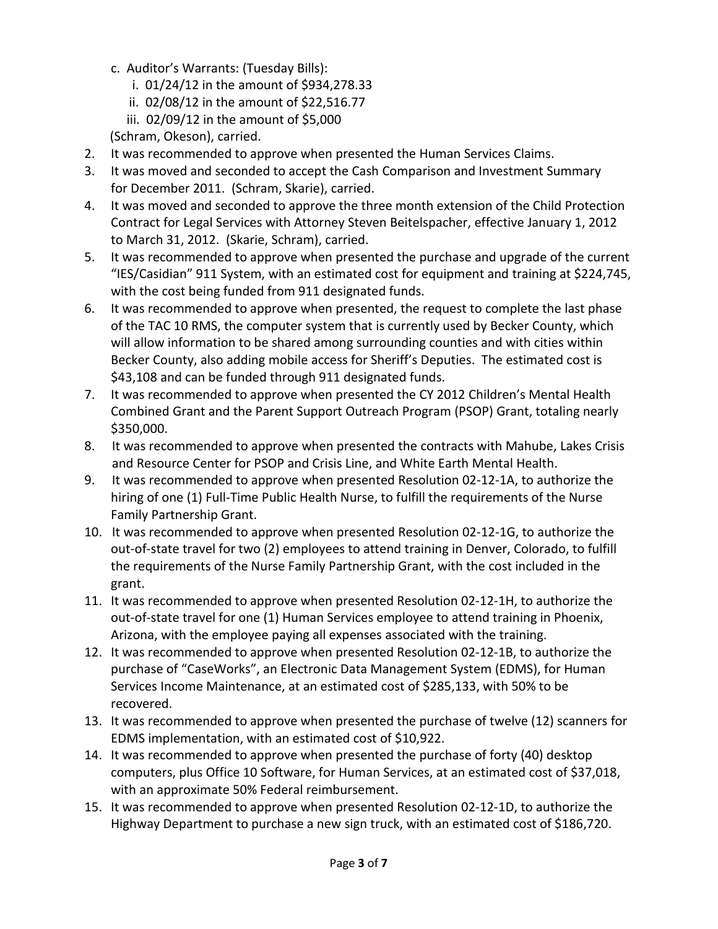- c. Auditor's Warrants: (Tuesday Bills):
	- i. 01/24/12 in the amount of \$934,278.33
	- ii. 02/08/12 in the amount of \$22,516.77
	- iii. 02/09/12 in the amount of \$5,000
- (Schram, Okeson), carried.
- 2. It was recommended to approve when presented the Human Services Claims.
- 3. It was moved and seconded to accept the Cash Comparison and Investment Summary for December 2011. (Schram, Skarie), carried.
- 4. It was moved and seconded to approve the three month extension of the Child Protection Contract for Legal Services with Attorney Steven Beitelspacher, effective January 1, 2012 to March 31, 2012. (Skarie, Schram), carried.
- 5. It was recommended to approve when presented the purchase and upgrade of the current "IES/Casidian" 911 System, with an estimated cost for equipment and training at \$224,745, with the cost being funded from 911 designated funds.
- 6. It was recommended to approve when presented, the request to complete the last phase of the TAC 10 RMS, the computer system that is currently used by Becker County, which will allow information to be shared among surrounding counties and with cities within Becker County, also adding mobile access for Sheriff's Deputies. The estimated cost is \$43,108 and can be funded through 911 designated funds.
- 7. It was recommended to approve when presented the CY 2012 Children's Mental Health Combined Grant and the Parent Support Outreach Program (PSOP) Grant, totaling nearly \$350,000.
- 8. It was recommended to approve when presented the contracts with Mahube, Lakes Crisis and Resource Center for PSOP and Crisis Line, and White Earth Mental Health.
- 9. It was recommended to approve when presented Resolution 02-12-1A, to authorize the hiring of one (1) Full-Time Public Health Nurse, to fulfill the requirements of the Nurse Family Partnership Grant.
- 10. It was recommended to approve when presented Resolution 02-12-1G, to authorize the out-of-state travel for two (2) employees to attend training in Denver, Colorado, to fulfill the requirements of the Nurse Family Partnership Grant, with the cost included in the grant.
- 11. It was recommended to approve when presented Resolution 02-12-1H, to authorize the out-of-state travel for one (1) Human Services employee to attend training in Phoenix, Arizona, with the employee paying all expenses associated with the training.
- 12. It was recommended to approve when presented Resolution 02-12-1B, to authorize the purchase of "CaseWorks", an Electronic Data Management System (EDMS), for Human Services Income Maintenance, at an estimated cost of \$285,133, with 50% to be recovered.
- 13. It was recommended to approve when presented the purchase of twelve (12) scanners for EDMS implementation, with an estimated cost of \$10,922.
- 14. It was recommended to approve when presented the purchase of forty (40) desktop computers, plus Office 10 Software, for Human Services, at an estimated cost of \$37,018, with an approximate 50% Federal reimbursement.
- 15. It was recommended to approve when presented Resolution 02-12-1D, to authorize the Highway Department to purchase a new sign truck, with an estimated cost of \$186,720.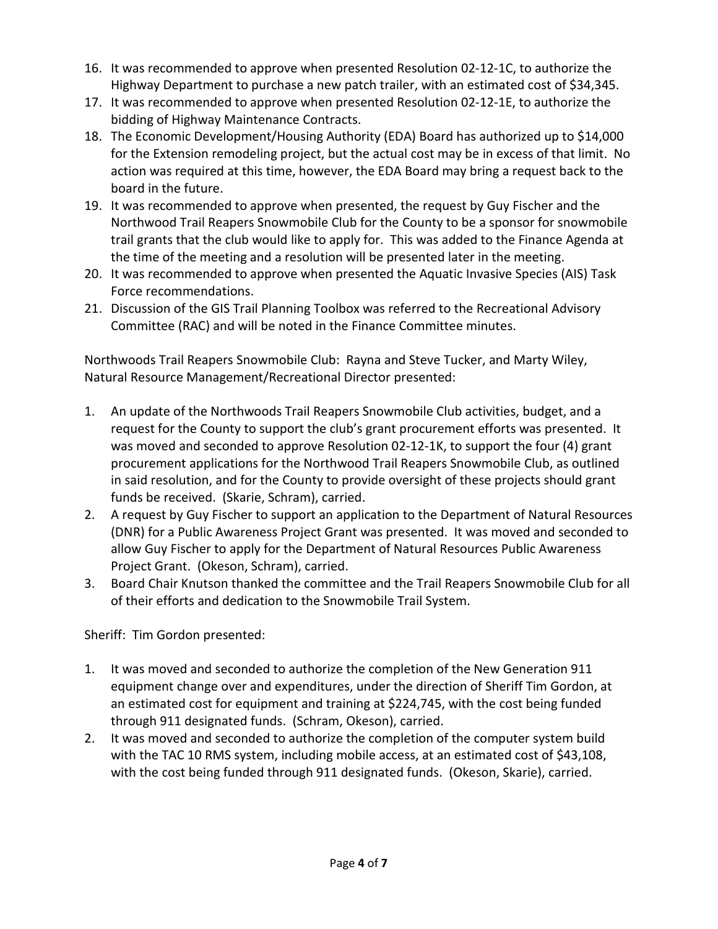- 16. It was recommended to approve when presented Resolution 02-12-1C, to authorize the Highway Department to purchase a new patch trailer, with an estimated cost of \$34,345.
- 17. It was recommended to approve when presented Resolution 02-12-1E, to authorize the bidding of Highway Maintenance Contracts.
- 18. The Economic Development/Housing Authority (EDA) Board has authorized up to \$14,000 for the Extension remodeling project, but the actual cost may be in excess of that limit. No action was required at this time, however, the EDA Board may bring a request back to the board in the future.
- 19. It was recommended to approve when presented, the request by Guy Fischer and the Northwood Trail Reapers Snowmobile Club for the County to be a sponsor for snowmobile trail grants that the club would like to apply for. This was added to the Finance Agenda at the time of the meeting and a resolution will be presented later in the meeting.
- 20. It was recommended to approve when presented the Aquatic Invasive Species (AIS) Task Force recommendations.
- 21. Discussion of the GIS Trail Planning Toolbox was referred to the Recreational Advisory Committee (RAC) and will be noted in the Finance Committee minutes.

Northwoods Trail Reapers Snowmobile Club: Rayna and Steve Tucker, and Marty Wiley, Natural Resource Management/Recreational Director presented:

- 1. An update of the Northwoods Trail Reapers Snowmobile Club activities, budget, and a request for the County to support the club's grant procurement efforts was presented. It was moved and seconded to approve Resolution 02-12-1K, to support the four (4) grant procurement applications for the Northwood Trail Reapers Snowmobile Club, as outlined in said resolution, and for the County to provide oversight of these projects should grant funds be received. (Skarie, Schram), carried.
- 2. A request by Guy Fischer to support an application to the Department of Natural Resources (DNR) for a Public Awareness Project Grant was presented. It was moved and seconded to allow Guy Fischer to apply for the Department of Natural Resources Public Awareness Project Grant. (Okeson, Schram), carried.
- 3. Board Chair Knutson thanked the committee and the Trail Reapers Snowmobile Club for all of their efforts and dedication to the Snowmobile Trail System.

Sheriff: Tim Gordon presented:

- 1. It was moved and seconded to authorize the completion of the New Generation 911 equipment change over and expenditures, under the direction of Sheriff Tim Gordon, at an estimated cost for equipment and training at \$224,745, with the cost being funded through 911 designated funds. (Schram, Okeson), carried.
- 2. It was moved and seconded to authorize the completion of the computer system build with the TAC 10 RMS system, including mobile access, at an estimated cost of \$43,108, with the cost being funded through 911 designated funds. (Okeson, Skarie), carried.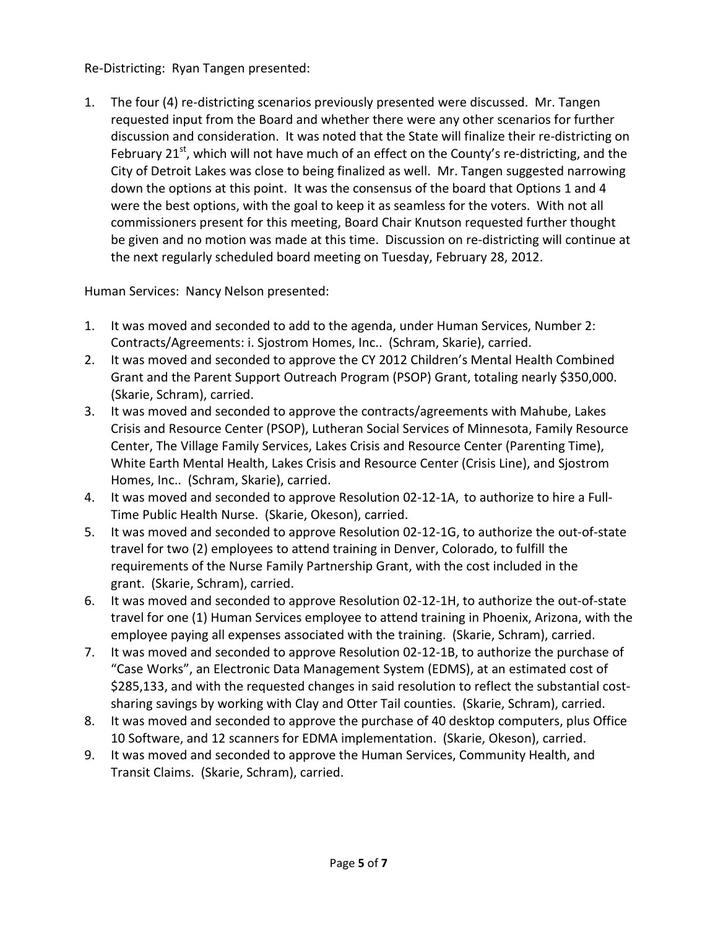## Re-Districting: Ryan Tangen presented:

1. The four (4) re-districting scenarios previously presented were discussed. Mr. Tangen requested input from the Board and whether there were any other scenarios for further discussion and consideration. It was noted that the State will finalize their re-districting on February 21<sup>st</sup>, which will not have much of an effect on the County's re-districting, and the City of Detroit Lakes was close to being finalized as well. Mr. Tangen suggested narrowing down the options at this point. It was the consensus of the board that Options 1 and 4 were the best options, with the goal to keep it as seamless for the voters. With not all commissioners present for this meeting, Board Chair Knutson requested further thought be given and no motion was made at this time. Discussion on re-districting will continue at the next regularly scheduled board meeting on Tuesday, February 28, 2012.

Human Services: Nancy Nelson presented:

- 1. It was moved and seconded to add to the agenda, under Human Services, Number 2: Contracts/Agreements: i. Sjostrom Homes, Inc.. (Schram, Skarie), carried.
- 2. It was moved and seconded to approve the CY 2012 Children's Mental Health Combined Grant and the Parent Support Outreach Program (PSOP) Grant, totaling nearly \$350,000. (Skarie, Schram), carried.
- 3. It was moved and seconded to approve the contracts/agreements with Mahube, Lakes Crisis and Resource Center (PSOP), Lutheran Social Services of Minnesota, Family Resource Center, The Village Family Services, Lakes Crisis and Resource Center (Parenting Time), White Earth Mental Health, Lakes Crisis and Resource Center (Crisis Line), and Sjostrom Homes, Inc.. (Schram, Skarie), carried.
- 4. It was moved and seconded to approve Resolution 02-12-1A, to authorize to hire a Full-Time Public Health Nurse. (Skarie, Okeson), carried.
- 5. It was moved and seconded to approve Resolution 02-12-1G, to authorize the out-of-state travel for two (2) employees to attend training in Denver, Colorado, to fulfill the requirements of the Nurse Family Partnership Grant, with the cost included in the grant. (Skarie, Schram), carried.
- 6. It was moved and seconded to approve Resolution 02-12-1H, to authorize the out-of-state travel for one (1) Human Services employee to attend training in Phoenix, Arizona, with the employee paying all expenses associated with the training. (Skarie, Schram), carried.
- 7. It was moved and seconded to approve Resolution 02-12-1B, to authorize the purchase of "Case Works", an Electronic Data Management System (EDMS), at an estimated cost of \$285,133, and with the requested changes in said resolution to reflect the substantial costsharing savings by working with Clay and Otter Tail counties. (Skarie, Schram), carried.
- 8. It was moved and seconded to approve the purchase of 40 desktop computers, plus Office 10 Software, and 12 scanners for EDMA implementation. (Skarie, Okeson), carried.
- 9. It was moved and seconded to approve the Human Services, Community Health, and Transit Claims. (Skarie, Schram), carried.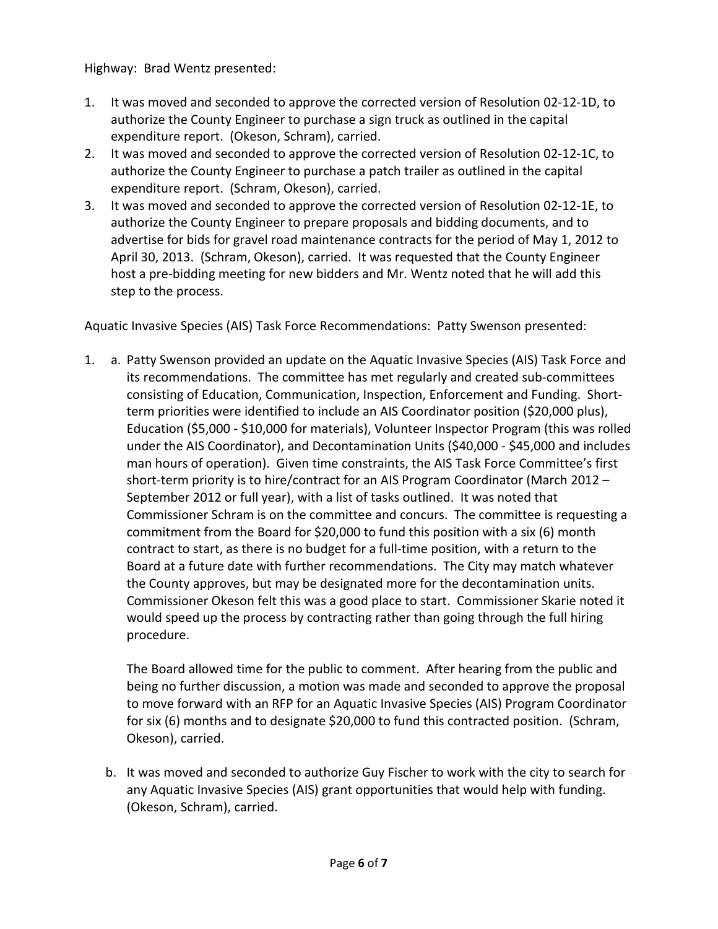Highway: Brad Wentz presented:

- 1. It was moved and seconded to approve the corrected version of Resolution 02-12-1D, to authorize the County Engineer to purchase a sign truck as outlined in the capital expenditure report. (Okeson, Schram), carried.
- 2. It was moved and seconded to approve the corrected version of Resolution 02-12-1C, to authorize the County Engineer to purchase a patch trailer as outlined in the capital expenditure report. (Schram, Okeson), carried.
- 3. It was moved and seconded to approve the corrected version of Resolution 02-12-1E, to authorize the County Engineer to prepare proposals and bidding documents, and to advertise for bids for gravel road maintenance contracts for the period of May 1, 2012 to April 30, 2013. (Schram, Okeson), carried. It was requested that the County Engineer host a pre-bidding meeting for new bidders and Mr. Wentz noted that he will add this step to the process.

Aquatic Invasive Species (AIS) Task Force Recommendations: Patty Swenson presented:

1. a. Patty Swenson provided an update on the Aquatic Invasive Species (AIS) Task Force and its recommendations. The committee has met regularly and created sub-committees consisting of Education, Communication, Inspection, Enforcement and Funding. Shortterm priorities were identified to include an AIS Coordinator position (\$20,000 plus), Education (\$5,000 - \$10,000 for materials), Volunteer Inspector Program (this was rolled under the AIS Coordinator), and Decontamination Units (\$40,000 - \$45,000 and includes man hours of operation). Given time constraints, the AIS Task Force Committee's first short-term priority is to hire/contract for an AIS Program Coordinator (March 2012 – September 2012 or full year), with a list of tasks outlined. It was noted that Commissioner Schram is on the committee and concurs. The committee is requesting a commitment from the Board for \$20,000 to fund this position with a six (6) month contract to start, as there is no budget for a full-time position, with a return to the Board at a future date with further recommendations. The City may match whatever the County approves, but may be designated more for the decontamination units. Commissioner Okeson felt this was a good place to start. Commissioner Skarie noted it would speed up the process by contracting rather than going through the full hiring procedure.

The Board allowed time for the public to comment. After hearing from the public and being no further discussion, a motion was made and seconded to approve the proposal to move forward with an RFP for an Aquatic Invasive Species (AIS) Program Coordinator for six (6) months and to designate \$20,000 to fund this contracted position. (Schram, Okeson), carried.

b. It was moved and seconded to authorize Guy Fischer to work with the city to search for any Aquatic Invasive Species (AIS) grant opportunities that would help with funding. (Okeson, Schram), carried.